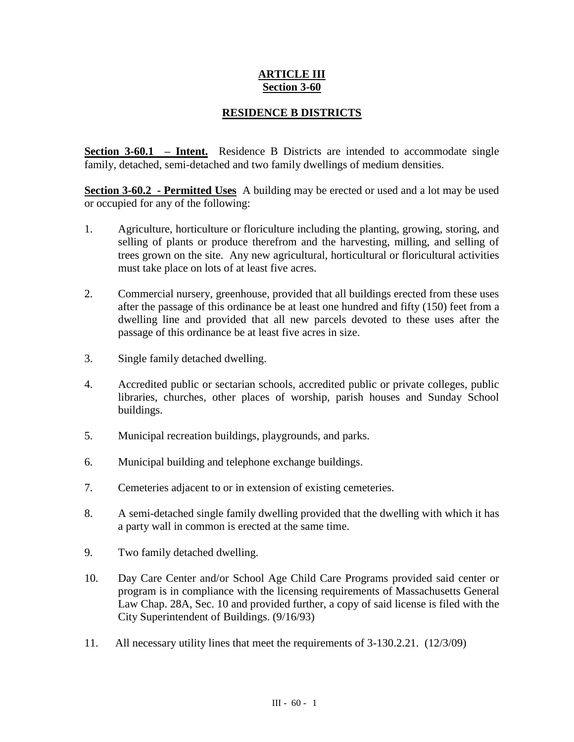## **ARTICLE III Section 3-60**

## **RESIDENCE B DISTRICTS**

**Section 3-60.1 – Intent.** Residence B Districts are intended to accommodate single family, detached, semi-detached and two family dwellings of medium densities.

**Section 3-60.2 - Permitted Uses** A building may be erected or used and a lot may be used or occupied for any of the following:

- 1. Agriculture, horticulture or floriculture including the planting, growing, storing, and selling of plants or produce therefrom and the harvesting, milling, and selling of trees grown on the site. Any new agricultural, horticultural or floricultural activities must take place on lots of at least five acres.
- 2. Commercial nursery, greenhouse, provided that all buildings erected from these uses after the passage of this ordinance be at least one hundred and fifty (150) feet from a dwelling line and provided that all new parcels devoted to these uses after the passage of this ordinance be at least five acres in size.
- 3. Single family detached dwelling.
- 4. Accredited public or sectarian schools, accredited public or private colleges, public libraries, churches, other places of worship, parish houses and Sunday School buildings.
- 5. Municipal recreation buildings, playgrounds, and parks.
- 6. Municipal building and telephone exchange buildings.
- 7. Cemeteries adjacent to or in extension of existing cemeteries.
- 8. A semi-detached single family dwelling provided that the dwelling with which it has a party wall in common is erected at the same time.
- 9. Two family detached dwelling.
- 10. Day Care Center and/or School Age Child Care Programs provided said center or program is in compliance with the licensing requirements of Massachusetts General Law Chap. 28A, Sec. 10 and provided further, a copy of said license is filed with the City Superintendent of Buildings. (9/16/93)
- 11. All necessary utility lines that meet the requirements of 3-130.2.21. (12/3/09)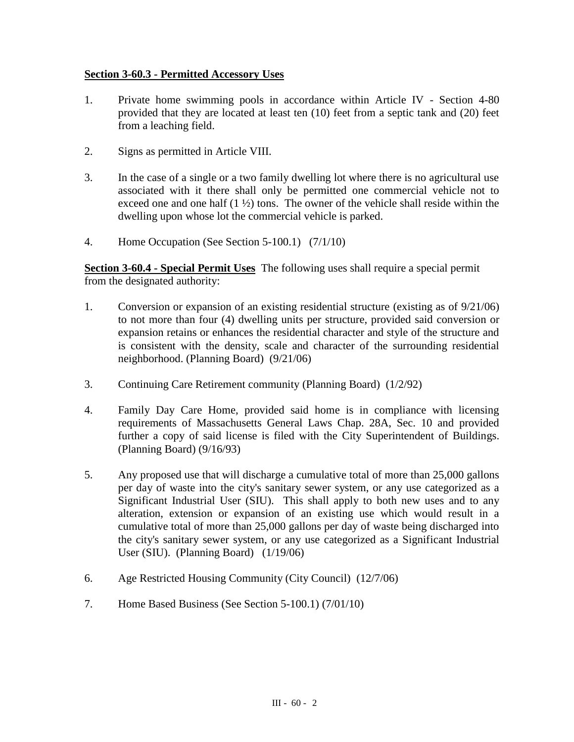## **Section 3-60.3 - Permitted Accessory Uses**

- 1. Private home swimming pools in accordance within Article IV Section 4-80 provided that they are located at least ten (10) feet from a septic tank and (20) feet from a leaching field.
- 2. Signs as permitted in Article VIII.
- 3. In the case of a single or a two family dwelling lot where there is no agricultural use associated with it there shall only be permitted one commercial vehicle not to exceed one and one half  $(1 \frac{1}{2})$  tons. The owner of the vehicle shall reside within the dwelling upon whose lot the commercial vehicle is parked.
- 4. Home Occupation (See Section 5-100.1) (7/1/10)

**Section 3-60.4 - Special Permit Uses** The following uses shall require a special permit from the designated authority:

- 1. Conversion or expansion of an existing residential structure (existing as of 9/21/06) to not more than four (4) dwelling units per structure, provided said conversion or expansion retains or enhances the residential character and style of the structure and is consistent with the density, scale and character of the surrounding residential neighborhood. (Planning Board) (9/21/06)
- 3. Continuing Care Retirement community (Planning Board) (1/2/92)
- 4. Family Day Care Home, provided said home is in compliance with licensing requirements of Massachusetts General Laws Chap. 28A, Sec. 10 and provided further a copy of said license is filed with the City Superintendent of Buildings. (Planning Board) (9/16/93)
- 5. Any proposed use that will discharge a cumulative total of more than 25,000 gallons per day of waste into the city's sanitary sewer system, or any use categorized as a Significant Industrial User (SIU). This shall apply to both new uses and to any alteration, extension or expansion of an existing use which would result in a cumulative total of more than 25,000 gallons per day of waste being discharged into the city's sanitary sewer system, or any use categorized as a Significant Industrial User (SIU). (Planning Board) (1/19/06)
- 6. Age Restricted Housing Community (City Council) (12/7/06)
- 7. Home Based Business (See Section 5-100.1) (7/01/10)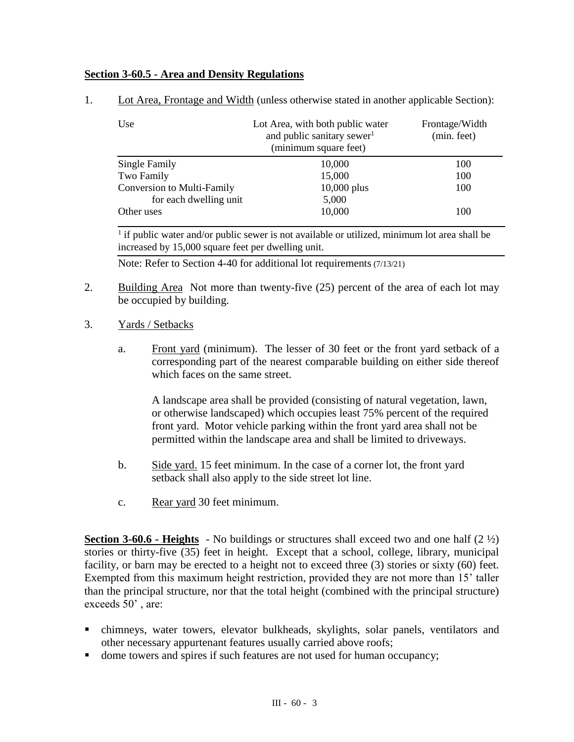## **Section 3-60.5 - Area and Density Regulations**

| Use                               | Lot Area, with both public water<br>and public sanitary sewer <sup>1</sup><br>(minimum square feet) | Frontage/Width<br>(min. feet) |
|-----------------------------------|-----------------------------------------------------------------------------------------------------|-------------------------------|
| Single Family                     | 10,000                                                                                              | 100                           |
| Two Family                        | 15,000                                                                                              | 100                           |
| <b>Conversion to Multi-Family</b> | $10,000$ plus                                                                                       | 100                           |
| for each dwelling unit            | 5,000                                                                                               |                               |
| Other uses                        | 10,000                                                                                              | 100                           |

1. Lot Area, Frontage and Width (unless otherwise stated in another applicable Section):

 $<sup>1</sup>$  if public water and/or public sewer is not available or utilized, minimum lot area shall be</sup> increased by 15,000 square feet per dwelling unit.

Note: Refer to Section 4-40 for additional lot requirements (7/13/21)

- 2. Building Area Not more than twenty-five (25) percent of the area of each lot may be occupied by building.
- 3. Yards / Setbacks
	- a. Front yard (minimum). The lesser of 30 feet or the front yard setback of a corresponding part of the nearest comparable building on either side thereof which faces on the same street.

A landscape area shall be provided (consisting of natural vegetation, lawn, or otherwise landscaped) which occupies least 75% percent of the required front yard. Motor vehicle parking within the front yard area shall not be permitted within the landscape area and shall be limited to driveways.

- b. Side yard. 15 feet minimum. In the case of a corner lot, the front yard setback shall also apply to the side street lot line.
- c. Rear yard 30 feet minimum.

**Section 3-60.6 - Heights** - No buildings or structures shall exceed two and one half (2 ½) stories or thirty-five (35) feet in height. Except that a school, college, library, municipal facility, or barn may be erected to a height not to exceed three (3) stories or sixty (60) feet. Exempted from this maximum height restriction, provided they are not more than 15' taller than the principal structure, nor that the total height (combined with the principal structure) exceeds 50' , are:

- chimneys, water towers, elevator bulkheads, skylights, solar panels, ventilators and other necessary appurtenant features usually carried above roofs;
- dome towers and spires if such features are not used for human occupancy;